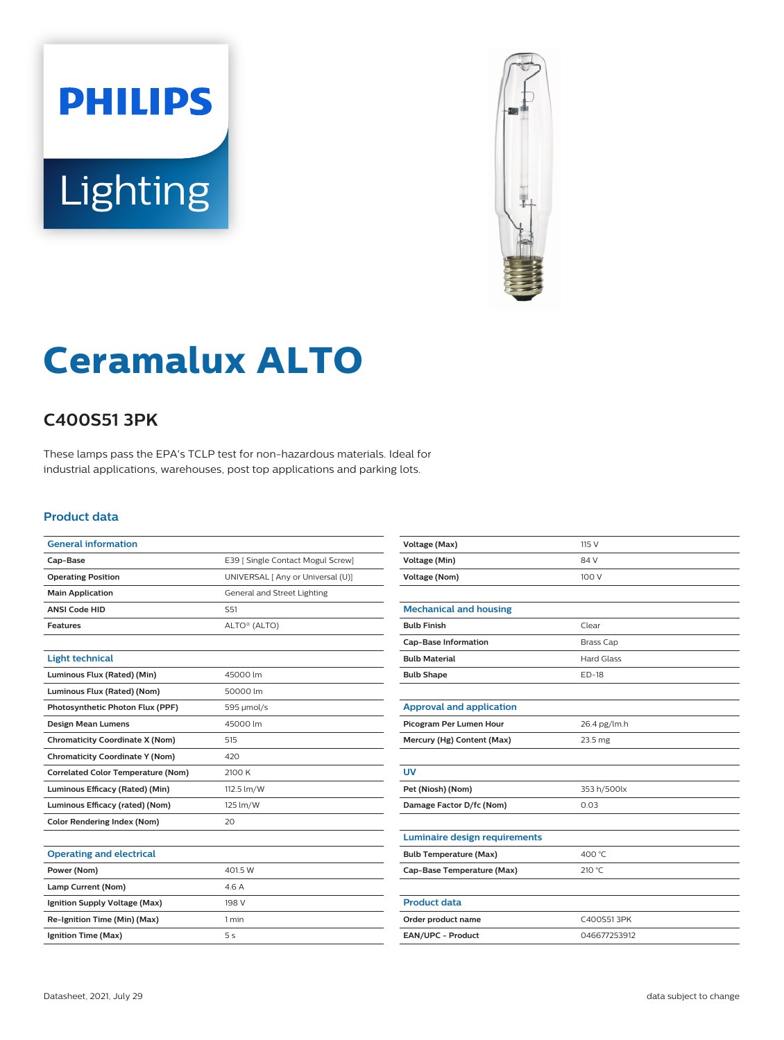



# **Ceramalux ALTO**

## **C400S51 3PK**

These lamps pass the EPA's TCLP test for non-hazardous materials. Ideal for industrial applications, warehouses, post top applications and parking lots.

#### **Product data**

| E39   Single Contact Mogul Screw] |
|-----------------------------------|
| UNIVERSAL [ Any or Universal (U)] |
| General and Street Lighting       |
| S <sub>51</sub>                   |
| ALTO® (ALTO)                      |
|                                   |
|                                   |
| 45000 lm                          |
| 50000 lm                          |
| 595 µmol/s                        |
| 45000 lm                          |
| 515                               |
| 420                               |
| 2100 K                            |
| 112.5 lm/W                        |
| 125 lm/W                          |
| 20                                |
|                                   |
|                                   |
| 401.5 W                           |
| 4.6 A                             |
| 198 V                             |
| 1 min                             |
| 5 <sub>s</sub>                    |
|                                   |

| Voltage (Max)                        | 115 V             |
|--------------------------------------|-------------------|
| Voltage (Min)                        | 84 V              |
| <b>Voltage (Nom)</b>                 | 100 V             |
|                                      |                   |
| <b>Mechanical and housing</b>        |                   |
| <b>Bulb Finish</b>                   | Clear             |
| <b>Cap-Base Information</b>          | <b>Brass Cap</b>  |
| <b>Bulb Material</b>                 | <b>Hard Glass</b> |
| <b>Bulb Shape</b>                    | <b>ED-18</b>      |
|                                      |                   |
| <b>Approval and application</b>      |                   |
| Picogram Per Lumen Hour              | 26.4 pg/lm.h      |
| Mercury (Hg) Content (Max)           | 23.5 mg           |
|                                      |                   |
| <b>UV</b>                            |                   |
| Pet (Niosh) (Nom)                    | 353 h/500lx       |
| Damage Factor D/fc (Nom)             | 0.03              |
|                                      |                   |
| <b>Luminaire design requirements</b> |                   |
| <b>Bulb Temperature (Max)</b>        | 400 °C            |
| Cap-Base Temperature (Max)           | 210 °C            |
|                                      |                   |
| <b>Product data</b>                  |                   |
| Order product name                   | C400S513PK        |
| EAN/UPC - Product                    | 046677253912      |
|                                      |                   |